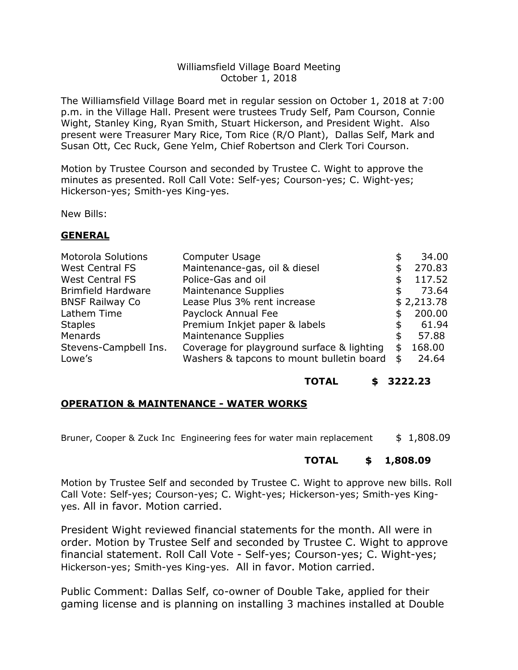#### Williamsfield Village Board Meeting October 1, 2018

The Williamsfield Village Board met in regular session on October 1, 2018 at 7:00 p.m. in the Village Hall. Present were trustees Trudy Self, Pam Courson, Connie Wight, Stanley King, Ryan Smith, Stuart Hickerson, and President Wight. Also present were Treasurer Mary Rice, Tom Rice (R/O Plant), Dallas Self, Mark and Susan Ott, Cec Ruck, Gene Yelm, Chief Robertson and Clerk Tori Courson.

Motion by Trustee Courson and seconded by Trustee C. Wight to approve the minutes as presented. Roll Call Vote: Self-yes; Courson-yes; C. Wight-yes; Hickerson-yes; Smith-yes King-yes.

New Bills:

#### **GENERAL**

| <b>Motorola Solutions</b> | Computer Usage                             |   | 34.00      |
|---------------------------|--------------------------------------------|---|------------|
| <b>West Central FS</b>    | Maintenance-gas, oil & diesel              |   | 270.83     |
| <b>West Central FS</b>    | Police-Gas and oil                         |   | 117.52     |
| <b>Brimfield Hardware</b> | Maintenance Supplies                       |   | 73.64      |
| <b>BNSF Railway Co</b>    | Lease Plus 3% rent increase                |   | \$2,213.78 |
| Lathem Time               | Payclock Annual Fee                        |   | 200.00     |
| <b>Staples</b>            | Premium Inkjet paper & labels              |   | 61.94      |
| Menards                   | <b>Maintenance Supplies</b>                | S | 57.88      |
| Stevens-Campbell Ins.     | Coverage for playground surface & lighting | S | 168.00     |
| Lowe's                    | Washers & tapcons to mount bulletin board  |   | 24.64      |

#### **TOTAL \$ 3222.23**

## **OPERATION & MAINTENANCE - WATER WORKS**

Bruner, Cooper & Zuck Inc Engineering fees for water main replacement \$ 1,808.09

## **TOTAL \$ 1,808.09**

Motion by Trustee Self and seconded by Trustee C. Wight to approve new bills. Roll Call Vote: Self-yes; Courson-yes; C. Wight-yes; Hickerson-yes; Smith-yes Kingyes. All in favor. Motion carried.

President Wight reviewed financial statements for the month. All were in order. Motion by Trustee Self and seconded by Trustee C. Wight to approve financial statement. Roll Call Vote - Self-yes; Courson-yes; C. Wight-yes; Hickerson-yes; Smith-yes King-yes. All in favor. Motion carried.

Public Comment: Dallas Self, co-owner of Double Take, applied for their gaming license and is planning on installing 3 machines installed at Double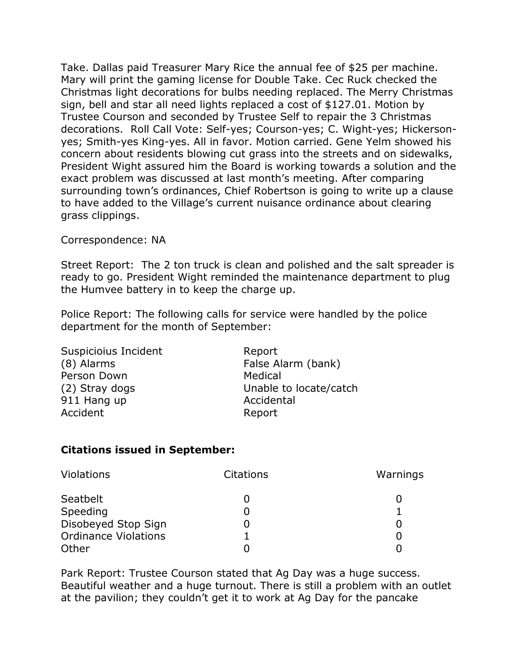Take. Dallas paid Treasurer Mary Rice the annual fee of \$25 per machine. Mary will print the gaming license for Double Take. Cec Ruck checked the Christmas light decorations for bulbs needing replaced. The Merry Christmas sign, bell and star all need lights replaced a cost of \$127.01. Motion by Trustee Courson and seconded by Trustee Self to repair the 3 Christmas decorations. Roll Call Vote: Self-yes; Courson-yes; C. Wight-yes; Hickersonyes; Smith-yes King-yes. All in favor. Motion carried. Gene Yelm showed his concern about residents blowing cut grass into the streets and on sidewalks, President Wight assured him the Board is working towards a solution and the exact problem was discussed at last month's meeting. After comparing surrounding town's ordinances, Chief Robertson is going to write up a clause to have added to the Village's current nuisance ordinance about clearing grass clippings.

## Correspondence: NA

Street Report: The 2 ton truck is clean and polished and the salt spreader is ready to go. President Wight reminded the maintenance department to plug the Humvee battery in to keep the charge up.

Police Report: The following calls for service were handled by the police department for the month of September:

Suspicioius Incident **Report** (8) Alarms False Alarm (bank) Person Down Medical 911 Hang up **Accidental** Accident **Report** 

(2) Stray dogs Unable to locate/catch

# **Citations issued in September:**

| <b>Violations</b>           | <b>Citations</b> | Warnings |
|-----------------------------|------------------|----------|
| Seatbelt                    |                  |          |
| Speeding                    |                  |          |
| Disobeyed Stop Sign         |                  |          |
| <b>Ordinance Violations</b> |                  |          |
| Other                       |                  |          |

Park Report: Trustee Courson stated that Ag Day was a huge success. Beautiful weather and a huge turnout. There is still a problem with an outlet at the pavilion; they couldn't get it to work at Ag Day for the pancake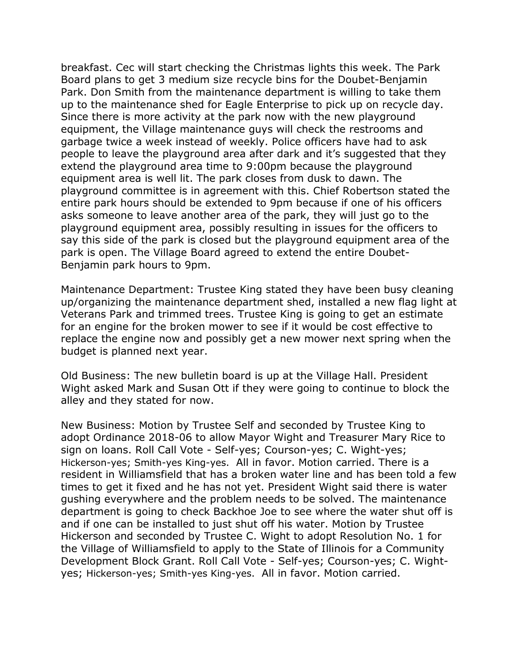breakfast. Cec will start checking the Christmas lights this week. The Park Board plans to get 3 medium size recycle bins for the Doubet-Benjamin Park. Don Smith from the maintenance department is willing to take them up to the maintenance shed for Eagle Enterprise to pick up on recycle day. Since there is more activity at the park now with the new playground equipment, the Village maintenance guys will check the restrooms and garbage twice a week instead of weekly. Police officers have had to ask people to leave the playground area after dark and it's suggested that they extend the playground area time to 9:00pm because the playground equipment area is well lit. The park closes from dusk to dawn. The playground committee is in agreement with this. Chief Robertson stated the entire park hours should be extended to 9pm because if one of his officers asks someone to leave another area of the park, they will just go to the playground equipment area, possibly resulting in issues for the officers to say this side of the park is closed but the playground equipment area of the park is open. The Village Board agreed to extend the entire Doubet-Benjamin park hours to 9pm.

Maintenance Department: Trustee King stated they have been busy cleaning up/organizing the maintenance department shed, installed a new flag light at Veterans Park and trimmed trees. Trustee King is going to get an estimate for an engine for the broken mower to see if it would be cost effective to replace the engine now and possibly get a new mower next spring when the budget is planned next year.

Old Business: The new bulletin board is up at the Village Hall. President Wight asked Mark and Susan Ott if they were going to continue to block the alley and they stated for now.

New Business: Motion by Trustee Self and seconded by Trustee King to adopt Ordinance 2018-06 to allow Mayor Wight and Treasurer Mary Rice to sign on loans. Roll Call Vote - Self-yes; Courson-yes; C. Wight-yes; Hickerson-yes; Smith-yes King-yes. All in favor. Motion carried. There is a resident in Williamsfield that has a broken water line and has been told a few times to get it fixed and he has not yet. President Wight said there is water gushing everywhere and the problem needs to be solved. The maintenance department is going to check Backhoe Joe to see where the water shut off is and if one can be installed to just shut off his water. Motion by Trustee Hickerson and seconded by Trustee C. Wight to adopt Resolution No. 1 for the Village of Williamsfield to apply to the State of Illinois for a Community Development Block Grant. Roll Call Vote - Self-yes; Courson-yes; C. Wightyes; Hickerson-yes; Smith-yes King-yes. All in favor. Motion carried.